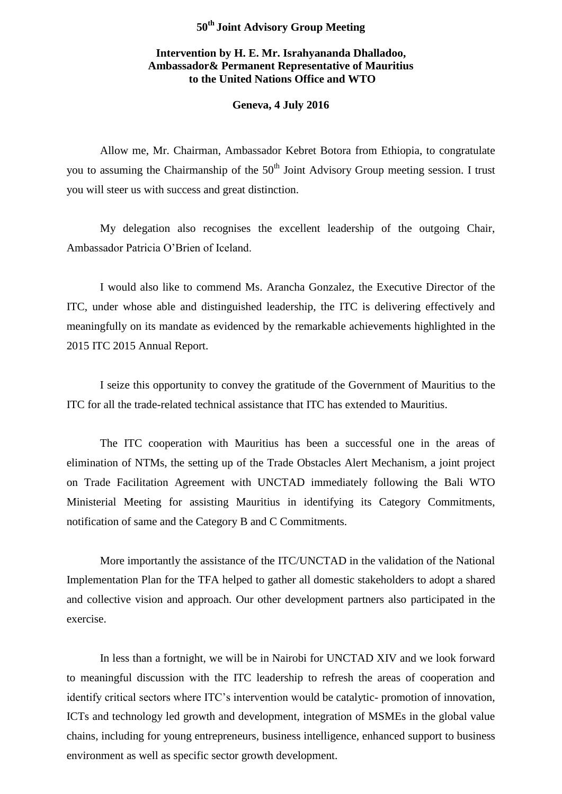## **50th Joint Advisory Group Meeting**

## **Intervention by H. E. Mr. Israhyananda Dhalladoo, Ambassador& Permanent Representative of Mauritius to the United Nations Office and WTO**

## **Geneva, 4 July 2016**

Allow me, Mr. Chairman, Ambassador Kebret Botora from Ethiopia, to congratulate you to assuming the Chairmanship of the  $50<sup>th</sup>$  Joint Advisory Group meeting session. I trust you will steer us with success and great distinction.

My delegation also recognises the excellent leadership of the outgoing Chair, Ambassador Patricia O'Brien of Iceland.

I would also like to commend Ms. Arancha Gonzalez, the Executive Director of the ITC, under whose able and distinguished leadership, the ITC is delivering effectively and meaningfully on its mandate as evidenced by the remarkable achievements highlighted in the 2015 ITC 2015 Annual Report.

I seize this opportunity to convey the gratitude of the Government of Mauritius to the ITC for all the trade-related technical assistance that ITC has extended to Mauritius.

The ITC cooperation with Mauritius has been a successful one in the areas of elimination of NTMs, the setting up of the Trade Obstacles Alert Mechanism, a joint project on Trade Facilitation Agreement with UNCTAD immediately following the Bali WTO Ministerial Meeting for assisting Mauritius in identifying its Category Commitments, notification of same and the Category B and C Commitments.

More importantly the assistance of the ITC/UNCTAD in the validation of the National Implementation Plan for the TFA helped to gather all domestic stakeholders to adopt a shared and collective vision and approach. Our other development partners also participated in the exercise.

In less than a fortnight, we will be in Nairobi for UNCTAD XIV and we look forward to meaningful discussion with the ITC leadership to refresh the areas of cooperation and identify critical sectors where ITC's intervention would be catalytic- promotion of innovation, ICTs and technology led growth and development, integration of MSMEs in the global value chains, including for young entrepreneurs, business intelligence, enhanced support to business environment as well as specific sector growth development.